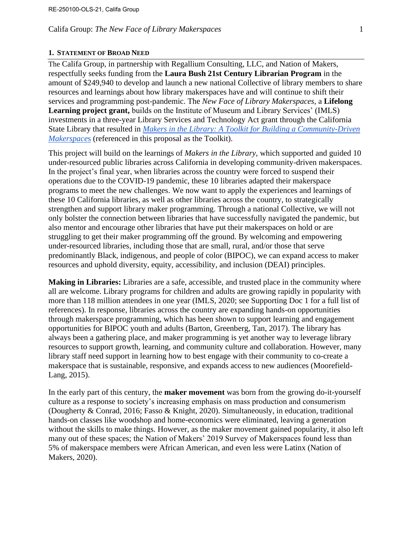#### **1. STATEMENT OF BROAD NEED**

The Califa Group, in partnership with Regallium Consulting, LLC, and Nation of Makers, respectfully seeks funding from the **Laura Bush 21st Century Librarian Program** in the amount of \$249,940 to develop and launch a new national Collective of library members to share resources and learnings about how library makerspaces have and will continue to shift their services and programming post-pandemic. The *New Face of Library Makerspaces,* a **Lifelong Learning project grant,** builds on the Institute of Museum and Library Services' (IMLS) investments in a three-year Library Services and Technology Act grant through the California State Library that resulted in *[Makers in the Library: A Toolkit for Building a Community-Driven](https://www.makersinthelibrary.org/)  [Makerspace](https://www.makersinthelibrary.org/)*[s](https://www.makersinthelibrary.org/) (referenced in this proposal as the Toolkit).

This project will build on the learnings of *Makers in the Library,* which supported and guided 10 under-resourced public libraries across California in developing community-driven makerspaces. In the project's final year, when libraries across the country were forced to suspend their operations due to the COVID-19 pandemic, these 10 libraries adapted their makerspace programs to meet the new challenges. We now want to apply the experiences and learnings of these 10 California libraries, as well as other libraries across the country, to strategically strengthen and support library maker programming. Through a national Collective, we will not only bolster the connection between libraries that have successfully navigated the pandemic, but also mentor and encourage other libraries that have put their makerspaces on hold or are struggling to get their maker programming off the ground. By welcoming and empowering under-resourced libraries, including those that are small, rural, and/or those that serve predominantly Black, indigenous, and people of color (BIPOC), we can expand access to maker resources and uphold diversity, equity, accessibility, and inclusion (DEAI) principles.

**Making in Libraries:** Libraries are a safe, accessible, and trusted place in the community where all are welcome. Library programs for children and adults are growing rapidly in popularity with more than 118 million attendees in one year (IMLS, 2020; see Supporting Doc 1 for a full list of references). In response, libraries across the country are expanding hands-on opportunities through makerspace programming, which has been shown to support learning and engagement opportunities for BIPOC youth and adults (Barton, Greenberg, Tan, 2017). The library has always been a gathering place, and maker programming is yet another way to leverage library resources to support growth, learning, and community culture and collaboration. However, many library staff need support in learning how to best engage with their community to co-create a makerspace that is sustainable, responsive, and expands access to new audiences (Moorefield-Lang, 2015).

In the early part of this century, the **maker movement** was born from the growing do-it-yourself culture as a response to society's increasing emphasis on mass production and consumerism (Dougherty & Conrad, 2016; Fasso & Knight, 2020). Simultaneously, in education, traditional hands-on classes like woodshop and home-economics were eliminated, leaving a generation without the skills to make things. However, as the maker movement gained popularity, it also left many out of these spaces; the Nation of Makers' 2019 Survey of Makerspaces found less than 5% of makerspace members were African American, and even less were Latinx (Nation of Makers, 2020).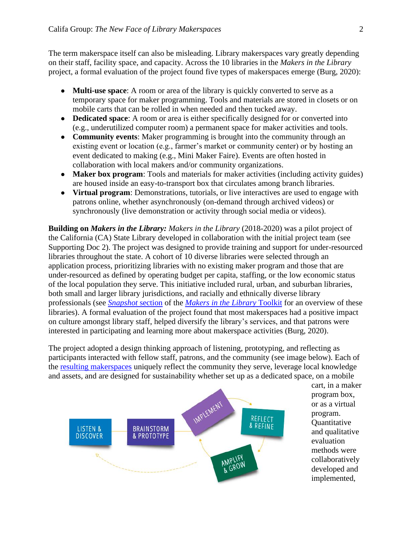The term makerspace itself can also be misleading. Library makerspaces vary greatly depending on their staff, facility space, and capacity. Across the 10 libraries in the *Makers in the Library* project, a formal evaluation of the project found five types of makerspaces emerge (Burg, 2020):

- **Multi-use space**: A room or area of the library is quickly converted to serve as a temporary space for maker programming. Tools and materials are stored in closets or on mobile carts that can be rolled in when needed and then tucked away.
- **Dedicated space**: A room or area is either specifically designed for or converted into (e.g., underutilized computer room) a permanent space for maker activities and tools.
- **Community events**: Maker programming is brought into the community through an existing event or location (e.g., farmer's market or community center) or by hosting an event dedicated to making (e.g., Mini Maker Faire). Events are often hosted in collaboration with local makers and/or community organizations.
- **Maker box program**: Tools and materials for maker activities (including activity guides) are housed inside an easy-to-transport box that circulates among branch libraries.
- **Virtual program**: Demonstrations, tutorials, or live interactives are used to engage with patrons online, whether asynchronously (on-demand through archived videos) or synchronously (live demonstration or activity through social media or videos).

**Building on** *Makers in the Library: Makers in the Library* (2018-2020) was a pilot project of the California (CA) State Library developed in collaboration with the initial project team (see Supporting Doc 2). The project was designed to provide training and support for under-resourced libraries throughout the state. A cohort of 10 diverse libraries were selected through an application process, prioritizing libraries with no existing maker program and those that are under-resourced as defined by operating budget per capita, staffing, or the low economic status of the local population they serve. This initiative included rural, urban, and suburban libraries, both small and larger library jurisdictions, and racially and ethnically diverse library professionals (see *[Snapshot](https://static1.squarespace.com/static/5f23ee35a40618686666773e/t/5f70bbcd6994936d8fd2442e/1601223638664/MakersInTheLibrary_Snapshots.pdf)* section of the *[Makers in the Library](https://www.makersinthelibrary.org/downloads)* Toolkit for an overview of these libraries). A formal evaluation of the project found that most makerspaces had a positive impact on culture amongst library staff, helped diversify the library's services, and that patrons were interested in participating and learning more about makerspace activities (Burg, 2020).

The project adopted a design thinking approach of listening, prototyping, and reflecting as participants interacted with fellow staff, patrons, and the community (see image below). Each of the [resulting makerspaces](https://static1.squarespace.com/static/5f23ee35a40618686666773e/t/5f70bbcd6994936d8fd2442e/1601223638664/MakersInTheLibrary_Snapshots.pdf) uniquely reflect the community they serve, leverage local knowledge and assets, and are designed for sustainability whether set up as a dedicated space, on a mobile



cart, in a maker program box, or as a virtual program. **Quantitative** and qualitative evaluation methods were collaboratively developed and implemented,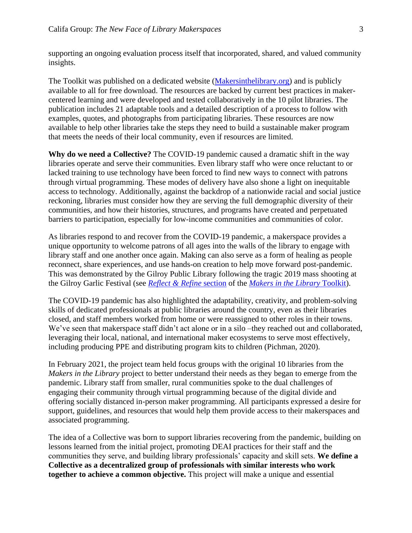supporting an ongoing evaluation process itself that incorporated, shared, and valued community insights.

The Toolkit was published on a dedicated website [\(Makersinthelibrary.org\)](http://www.makersinthelibrary.org/) and is publicly available to all for free download. The resources are backed by current best practices in makercentered learning and were developed and tested collaboratively in the 10 pilot libraries. The publication includes 21 adaptable tools and a detailed description of a process to follow with examples, quotes, and photographs from participating libraries. These resources are now available to help other libraries take the steps they need to build a sustainable maker program that meets the needs of their local community, even if resources are limited.

**Why do we need a Collective?** The COVID-19 pandemic caused a dramatic shift in the way libraries operate and serve their communities. Even library staff who were once reluctant to or lacked training to use technology have been forced to find new ways to connect with patrons through virtual programming. These modes of delivery have also shone a light on inequitable access to technology. Additionally, against the backdrop of a nationwide racial and social justice reckoning, libraries must consider how they are serving the full demographic diversity of their communities, and how their histories, structures, and programs have created and perpetuated barriers to participation, especially for low-income communities and communities of color.

As libraries respond to and recover from the COVID-19 pandemic, a makerspace provides a unique opportunity to welcome patrons of all ages into the walls of the library to engage with library staff and one another once again. Making can also serve as a form of healing as people reconnect, share experiences, and use hands-on creation to help move forward post-pandemic. This was demonstrated by the Gilroy Public Library following the tragic 2019 mass shooting at the Gilroy Garlic Festival (see *[Reflect & Refine](https://static1.squarespace.com/static/5f23ee35a40618686666773e/t/5f70bb88641b9366710794ad/1601223572216/MakersInTheLibrary_ReflectRefine.pdf)* section of the *[Makers in the Library](https://www.makersinthelibrary.org/downloads)* Toolkit).

The COVID-19 pandemic has also highlighted the adaptability, creativity, and problem-solving skills of dedicated professionals at public libraries around the country, even as their libraries closed, and staff members worked from home or were reassigned to other roles in their towns. We've seen that makerspace staff didn't act alone or in a silo –they reached out and collaborated, leveraging their local, national, and international maker ecosystems to serve most effectively, including producing PPE and distributing program kits to children (Pichman, 2020).

In February 2021, the project team held focus groups with the original 10 libraries from the *Makers in the Library* project to better understand their needs as they began to emerge from the pandemic. Library staff from smaller, rural communities spoke to the dual challenges of engaging their community through virtual programming because of the digital divide and offering socially distanced in-person maker programming. All participants expressed a desire for support, guidelines, and resources that would help them provide access to their makerspaces and associated programming.

The idea of a Collective was born to support libraries recovering from the pandemic, building on lessons learned from the initial project, promoting DEAI practices for their staff and the communities they serve, and building library professionals' capacity and skill sets. **We define a Collective as a decentralized group of professionals with similar interests who work together to achieve a common objective.** This project will make a unique and essential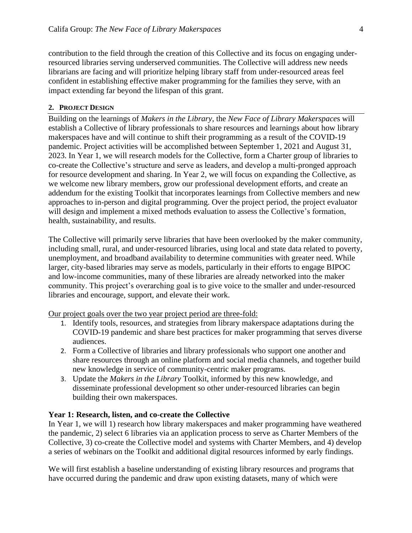contribution to the field through the creation of this Collective and its focus on engaging underresourced libraries serving underserved communities. The Collective will address new needs librarians are facing and will prioritize helping library staff from under-resourced areas feel confident in establishing effective maker programming for the families they serve, with an impact extending far beyond the lifespan of this grant.

#### **2. PROJECT DESIGN**

Building on the learnings of *Makers in the Library*, the *New Face of Library Makerspace*s will establish a Collective of library professionals to share resources and learnings about how library makerspaces have and will continue to shift their programming as a result of the COVID-19 pandemic. Project activities will be accomplished between September 1, 2021 and August 31, 2023. In Year 1, we will research models for the Collective, form a Charter group of libraries to co-create the Collective's structure and serve as leaders, and develop a multi-pronged approach for resource development and sharing. In Year 2, we will focus on expanding the Collective, as we welcome new library members, grow our professional development efforts, and create an addendum for the existing Toolkit that incorporates learnings from Collective members and new approaches to in-person and digital programming. Over the project period, the project evaluator will design and implement a mixed methods evaluation to assess the Collective's formation, health, sustainability, and results.

The Collective will primarily serve libraries that have been overlooked by the maker community, including small, rural, and under-resourced libraries, using local and state data related to poverty, unemployment, and broadband availability to determine communities with greater need. While larger, city-based libraries may serve as models, particularly in their efforts to engage BIPOC and low-income communities, many of these libraries are already networked into the maker community. This project's overarching goal is to give voice to the smaller and under-resourced libraries and encourage, support, and elevate their work.

Our project goals over the two year project period are three-fold:

- 1. Identify tools, resources, and strategies from library makerspace adaptations during the COVID-19 pandemic and share best practices for maker programming that serves diverse audiences.
- 2. Form a Collective of libraries and library professionals who support one another and share resources through an online platform and social media channels, and together build new knowledge in service of community-centric maker programs.
- 3. Update the *Makers in the Library* Toolkit, informed by this new knowledge, and disseminate professional development so other under-resourced libraries can begin building their own makerspaces.

#### **Year 1: Research, listen, and co-create the Collective**

In Year 1, we will 1) research how library makerspaces and maker programming have weathered the pandemic, 2) select 6 libraries via an application process to serve as Charter Members of the Collective, 3) co-create the Collective model and systems with Charter Members, and 4) develop a series of webinars on the Toolkit and additional digital resources informed by early findings.

We will first establish a baseline understanding of existing library resources and programs that have occurred during the pandemic and draw upon existing datasets, many of which were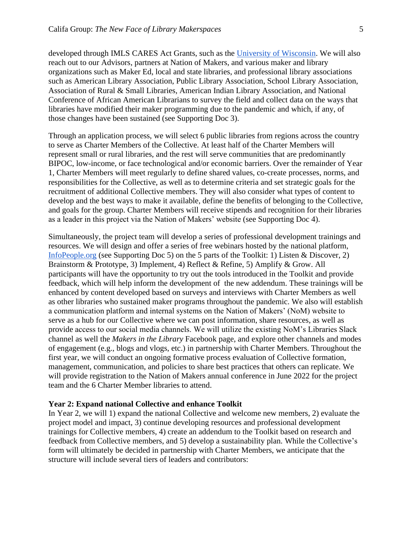developed through IMLS CARES Act Grants, such as the [University of Wisconsin.](https://www.imls.gov/grants/awarded/cagml-247380-omls-20) We will also reach out to our Advisors, partners at Nation of Makers, and various maker and library organizations such as Maker Ed, local and state libraries, and professional library associations such as American Library Association, Public Library Association, School Library Association, Association of Rural & Small Libraries, American Indian Library Association, and National Conference of African American Librarians to survey the field and collect data on the ways that libraries have modified their maker programming due to the pandemic and which, if any, of those changes have been sustained (see Supporting Doc 3).

Through an application process, we will select 6 public libraries from regions across the country to serve as Charter Members of the Collective. At least half of the Charter Members will represent small or rural libraries, and the rest will serve communities that are predominantly BIPOC, low-income, or face technological and/or economic barriers. Over the remainder of Year 1, Charter Members will meet regularly to define shared values, co-create processes, norms, and responsibilities for the Collective, as well as to determine criteria and set strategic goals for the recruitment of additional Collective members. They will also consider what types of content to develop and the best ways to make it available, define the benefits of belonging to the Collective, and goals for the group. Charter Members will receive stipends and recognition for their libraries as a leader in this project via the Nation of Makers' website (see Supporting Doc 4).

Simultaneously, the project team will develop a series of professional development trainings and resources. We will design and offer a series of free webinars hosted by the national platform[,](https://infopeople.org/) [InfoPeople.org](https://infopeople.org/) (see Supporting Doc 5) on the 5 parts of the Toolkit: 1) Listen & Discover, 2) Brainstorm & Prototype, 3) Implement, 4) Reflect & Refine, 5) Amplify & Grow. All participants will have the opportunity to try out the tools introduced in the Toolkit and provide feedback, which will help inform the development of the new addendum. These trainings will be enhanced by content developed based on surveys and interviews with Charter Members as well as other libraries who sustained maker programs throughout the pandemic. We also will establish a communication platform and internal systems on the Nation of Makers' (NoM) website to serve as a hub for our Collective where we can post information, share resources, as well as provide access to our social media channels. We will utilize the existing NoM's Libraries Slack channel as well the *Makers in the Library* Facebook page, and explore other channels and modes of engagement (e.g., blogs and vlogs, etc.) in partnership with Charter Members. Throughout the first year, we will conduct an ongoing formative process evaluation of Collective formation, management, communication, and policies to share best practices that others can replicate. We will provide registration to the Nation of Makers annual conference in June 2022 for the project team and the 6 Charter Member libraries to attend.

#### **Year 2: Expand national Collective and enhance Toolkit**

In Year 2, we will 1) expand the national Collective and welcome new members, 2) evaluate the project model and impact, 3) continue developing resources and professional development trainings for Collective members, 4) create an addendum to the Toolkit based on research and feedback from Collective members, and 5) develop a sustainability plan. While the Collective's form will ultimately be decided in partnership with Charter Members, we anticipate that the structure will include several tiers of leaders and contributors: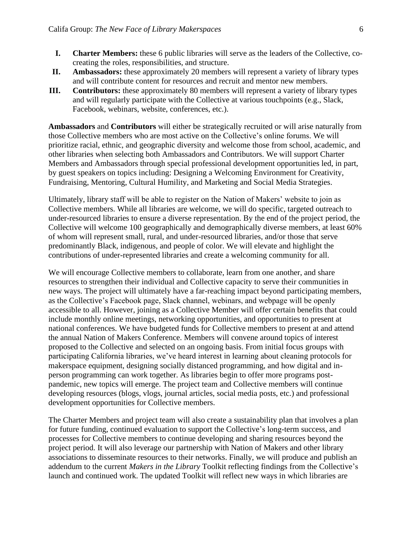- **I. Charter Members:** these 6 public libraries will serve as the leaders of the Collective, cocreating the roles, responsibilities, and structure.
- **II. Ambassadors:** these approximately 20 members will represent a variety of library types and will contribute content for resources and recruit and mentor new members.
- **III. Contributors:** these approximately 80 members will represent a variety of library types and will regularly participate with the Collective at various touchpoints (e.g., Slack, Facebook, webinars, website, conferences, etc.).

**Ambassadors** and **Contributors** will either be strategically recruited or will arise naturally from those Collective members who are most active on the Collective's online forums. We will prioritize racial, ethnic, and geographic diversity and welcome those from school, academic, and other libraries when selecting both Ambassadors and Contributors. We will support Charter Members and Ambassadors through special professional development opportunities led, in part, by guest speakers on topics including: Designing a Welcoming Environment for Creativity, Fundraising, Mentoring, Cultural Humility, and Marketing and Social Media Strategies.

Ultimately, library staff will be able to register on the Nation of Makers' website to join as Collective members. While all libraries are welcome, we will do specific, targeted outreach to under-resourced libraries to ensure a diverse representation. By the end of the project period, the Collective will welcome 100 geographically and demographically diverse members, at least 60% of whom will represent small, rural, and under-resourced libraries, and/or those that serve predominantly Black, indigenous, and people of color. We will elevate and highlight the contributions of under-represented libraries and create a welcoming community for all.

We will encourage Collective members to collaborate, learn from one another, and share resources to strengthen their individual and Collective capacity to serve their communities in new ways. The project will ultimately have a far-reaching impact beyond participating members, as the Collective's Facebook page, Slack channel, webinars, and webpage will be openly accessible to all. However, joining as a Collective Member will offer certain benefits that could include monthly online meetings, networking opportunities, and opportunities to present at national conferences. We have budgeted funds for Collective members to present at and attend the annual Nation of Makers Conference. Members will convene around topics of interest proposed to the Collective and selected on an ongoing basis. From initial focus groups with participating California libraries, we've heard interest in learning about cleaning protocols for makerspace equipment, designing socially distanced programming, and how digital and inperson programming can work together. As libraries begin to offer more programs postpandemic, new topics will emerge. The project team and Collective members will continue developing resources (blogs, vlogs, journal articles, social media posts, etc.) and professional development opportunities for Collective members.

The Charter Members and project team will also create a sustainability plan that involves a plan for future funding, continued evaluation to support the Collective's long-term success, and processes for Collective members to continue developing and sharing resources beyond the project period. It will also leverage our partnership with Nation of Makers and other library associations to disseminate resources to their networks. Finally, we will produce and publish an addendum to the current *Makers in the Library* Toolkit reflecting findings from the Collective's launch and continued work. The updated Toolkit will reflect new ways in which libraries are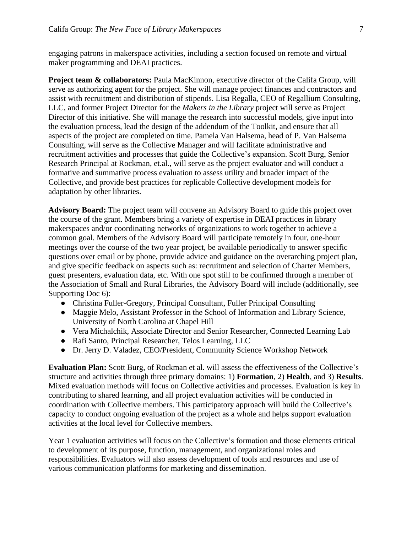engaging patrons in makerspace activities, including a section focused on remote and virtual maker programming and DEAI practices.

**Project team & collaborators:** Paula MacKinnon, executive director of the Califa Group, will serve as authorizing agent for the project. She will manage project finances and contractors and assist with recruitment and distribution of stipends. Lisa Regalla, CEO of Regallium Consulting, LLC, and former Project Director for the *Makers in the Library* project will serve as Project Director of this initiative. She will manage the research into successful models, give input into the evaluation process, lead the design of the addendum of the Toolkit, and ensure that all aspects of the project are completed on time. Pamela Van Halsema, head of P. Van Halsema Consulting, will serve as the Collective Manager and will facilitate administrative and recruitment activities and processes that guide the Collective's expansion. Scott Burg, Senior Research Principal at Rockman, et.al., will serve as the project evaluator and will conduct a formative and summative process evaluation to assess utility and broader impact of the Collective, and provide best practices for replicable Collective development models for adaptation by other libraries.

**Advisory Board:** The project team will convene an Advisory Board to guide this project over the course of the grant. Members bring a variety of expertise in DEAI practices in library makerspaces and/or coordinating networks of organizations to work together to achieve a common goal. Members of the Advisory Board will participate remotely in four, one-hour meetings over the course of the two year project, be available periodically to answer specific questions over email or by phone, provide advice and guidance on the overarching project plan, and give specific feedback on aspects such as: recruitment and selection of Charter Members, guest presenters, evaluation data, etc. With one spot still to be confirmed through a member of the Association of Small and Rural Libraries, the Advisory Board will include (additionally, see Supporting Doc 6):

- Christina Fuller-Gregory, Principal Consultant, Fuller Principal Consulting
- Maggie Melo, Assistant Professor in the School of Information and Library Science, University of North Carolina at Chapel Hill
- Vera Michalchik, Associate Director and Senior Researcher, Connected Learning Lab
- Rafi Santo, Principal Researcher, Telos Learning, LLC
- Dr. Jerry D. Valadez, CEO/President, Community Science Workshop Network

**Evaluation Plan:** Scott Burg, of Rockman et al. will assess the effectiveness of the Collective's structure and activities through three primary domains: 1) **Formation**, 2) **Health**, and 3) **Results**. Mixed evaluation methods will focus on Collective activities and processes. Evaluation is key in contributing to shared learning, and all project evaluation activities will be conducted in coordination with Collective members. This participatory approach will build the Collective's capacity to conduct ongoing evaluation of the project as a whole and helps support evaluation activities at the local level for Collective members.

Year 1 evaluation activities will focus on the Collective's formation and those elements critical to development of its purpose, function, management, and organizational roles and responsibilities. Evaluators will also assess development of tools and resources and use of various communication platforms for marketing and dissemination.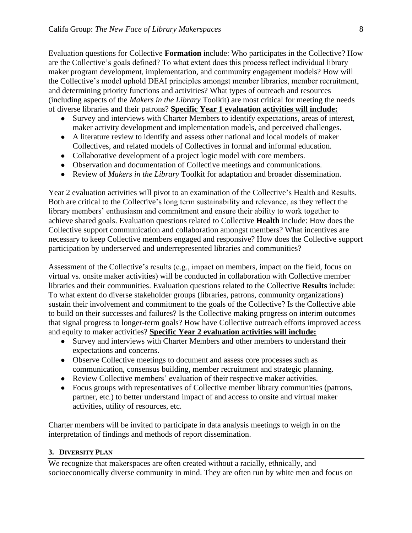Evaluation questions for Collective **Formation** include: Who participates in the Collective? How are the Collective's goals defined? To what extent does this process reflect individual library maker program development, implementation, and community engagement models? How will the Collective's model uphold DEAI principles amongst member libraries, member recruitment, and determining priority functions and activities? What types of outreach and resources (including aspects of the *Makers in the Library* Toolkit) are most critical for meeting the needs of diverse libraries and their patrons? **Specific Year 1 evaluation activities will include:**

- Survey and interviews with Charter Members to identify expectations, areas of interest, maker activity development and implementation models, and perceived challenges.
- A literature review to identify and assess other national and local models of maker Collectives, and related models of Collectives in formal and informal education.
- Collaborative development of a project logic model with core members.
- Observation and documentation of Collective meetings and communications.
- Review of *Makers in the Library* Toolkit for adaptation and broader dissemination.

Year 2 evaluation activities will pivot to an examination of the Collective's Health and Results. Both are critical to the Collective's long term sustainability and relevance, as they reflect the library members' enthusiasm and commitment and ensure their ability to work together to achieve shared goals. Evaluation questions related to Collective **Health** include: How does the Collective support communication and collaboration amongst members? What incentives are necessary to keep Collective members engaged and responsive? How does the Collective support participation by underserved and underrepresented libraries and communities?

Assessment of the Collective's results (e.g., impact on members, impact on the field, focus on virtual vs. onsite maker activities) will be conducted in collaboration with Collective member libraries and their communities. Evaluation questions related to the Collective **Results** include: To what extent do diverse stakeholder groups (libraries, patrons, community organizations) sustain their involvement and commitment to the goals of the Collective? Is the Collective able to build on their successes and failures? Is the Collective making progress on interim outcomes that signal progress to longer-term goals? How have Collective outreach efforts improved access and equity to maker activities? **Specific Year 2 evaluation activities will include:**

- Survey and interviews with Charter Members and other members to understand their expectations and concerns.
- Observe Collective meetings to document and assess core processes such as communication, consensus building, member recruitment and strategic planning.
- Review Collective members' evaluation of their respective maker activities.
- Focus groups with representatives of Collective member library communities (patrons, partner, etc.) to better understand impact of and access to onsite and virtual maker activities, utility of resources, etc.

Charter members will be invited to participate in data analysis meetings to weigh in on the interpretation of findings and methods of report dissemination.

#### **3. DIVERSITY PLAN**

We recognize that makerspaces are often created without a racially, ethnically, and socioeconomically diverse community in mind. They are often run by white men and focus on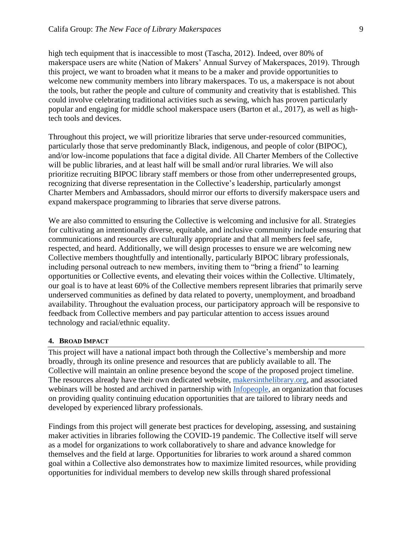high tech equipment that is inaccessible to most (Tascha, 2012). Indeed, over 80% of makerspace users are white (Nation of Makers' Annual Survey of Makerspaces, 2019). Through this project, we want to broaden what it means to be a maker and provide opportunities to welcome new community members into library makerspaces. To us, a makerspace is not about the tools, but rather the people and culture of community and creativity that is established. This could involve celebrating traditional activities such as sewing, which has proven particularly popular and engaging for middle school makerspace users (Barton et al., 2017), as well as hightech tools and devices.

Throughout this project, we will prioritize libraries that serve under-resourced communities, particularly those that serve predominantly Black, indigenous, and people of color (BIPOC), and/or low-income populations that face a digital divide. All Charter Members of the Collective will be public libraries, and at least half will be small and/or rural libraries. We will also prioritize recruiting BIPOC library staff members or those from other underrepresented groups, recognizing that diverse representation in the Collective's leadership, particularly amongst Charter Members and Ambassadors, should mirror our efforts to diversify makerspace users and expand makerspace programming to libraries that serve diverse patrons.

We are also committed to ensuring the Collective is welcoming and inclusive for all. Strategies for cultivating an intentionally diverse, equitable, and inclusive community include ensuring that communications and resources are culturally appropriate and that all members feel safe, respected, and heard. Additionally, we will design processes to ensure we are welcoming new Collective members thoughtfully and intentionally, particularly BIPOC library professionals, including personal outreach to new members, inviting them to "bring a friend" to learning opportunities or Collective events, and elevating their voices within the Collective. Ultimately, our goal is to have at least 60% of the Collective members represent libraries that primarily serve underserved communities as defined by data related to poverty, unemployment, and broadband availability. Throughout the evaluation process, our participatory approach will be responsive to feedback from Collective members and pay particular attention to access issues around technology and racial/ethnic equality.

#### **4. BROAD IMPACT**

This project will have a national impact both through the Collective's membership and more broadly, through its online presence and resources that are publicly available to all. The Collective will maintain an online presence beyond the scope of the proposed project timeline. The resources already have their own dedicated website[,](https://www.makersinthelibrary.org/) [makersinthelibrary.org,](https://www.makersinthelibrary.org/) and associated webinars will be hosted and archived in partnership with [Infopeople,](https://infopeople.org/) an organization that focuses on providing quality continuing education opportunities that are tailored to library needs and developed by experienced library professionals.

Findings from this project will generate best practices for developing, assessing, and sustaining maker activities in libraries following the COVID-19 pandemic. The Collective itself will serve as a model for organizations to work collaboratively to share and advance knowledge for themselves and the field at large. Opportunities for libraries to work around a shared common goal within a Collective also demonstrates how to maximize limited resources, while providing opportunities for individual members to develop new skills through shared professional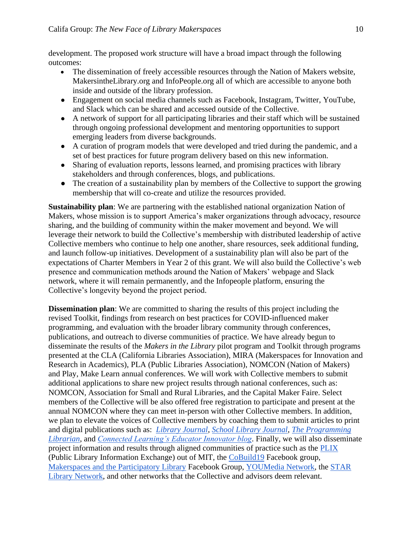development. The proposed work structure will have a broad impact through the following outcomes:

- The dissemination of freely accessible resources through the Nation of Makers website, MakersintheLibrary.org and InfoPeople.org all of which are accessible to anyone both inside and outside of the library profession.
- Engagement on social media channels such as Facebook, Instagram, Twitter, YouTube, and Slack which can be shared and accessed outside of the Collective.
- A network of support for all participating libraries and their staff which will be sustained through ongoing professional development and mentoring opportunities to support emerging leaders from diverse backgrounds.
- A curation of program models that were developed and tried during the pandemic, and a set of best practices for future program delivery based on this new information.
- Sharing of evaluation reports, lessons learned, and promising practices with library stakeholders and through conferences, blogs, and publications.
- The creation of a sustainability plan by members of the Collective to support the growing membership that will co-create and utilize the resources provided.

**Sustainability plan**: We are partnering with the established national organization [Nation of](https://www.nationofmakers.us/)  [Makers,](https://www.nationofmakers.us/) whose mission is to support America's maker organizations through advocacy, resource sharing, and the building of community within the maker movement and beyond. We will leverage their network to build the Collective's membership with distributed leadership of active Collective members who continue to help one another, share resources, seek additional funding, and launch follow-up initiatives. Development of a sustainability plan will also be part of the expectations of Charter Members in Year 2 of this grant. We will also build the Collective's web presence and communication methods around the Nation of Makers' webpage and Slack network, where it will remain permanently, and the Infopeople platform, ensuring the Collective's longevity beyond the project period.

**Dissemination plan**: We are committed to sharing the results of this project including the revised Toolkit, findings from research on best practices for COVID-influenced maker programming, and evaluation with the broader library community through conferences, publications, and outreach to diverse communities of practice. We have already begun to disseminate the results of the *Makers in the Library* pilot program and Toolkit through programs presented at the CLA (California Libraries Association), MIRA (Makerspaces for Innovation and Research in Academics), PLA (Public Libraries Association), NOMCON (Nation of Makers) and Play, Make Learn annual conferences. We will work with Collective members to submit additional applications to share new project results through national conferences, such as: NOMCON, Association for Small and Rural Libraries, and the Capital Maker Faire. Select members of the Collective will be also offered free registration to participate and present at the annual NOMCON where they can meet in-person with other Collective members. In addition, we plan to elevate the voices of Collective members by coaching them to submit articles to print and digital publications such as: *[Library Journal](https://www.libraryjournal.com/)*[,](https://www.slj.com/) *[School Library Journal](https://www.slj.com/)*[,](https://programminglibrarian.org/) *[The Programming](https://programminglibrarian.org/)  [Librarian](https://programminglibrarian.org/)*, an[d](https://educatorinnovator.org/) *[Connected Learning's Educator Innovator blog](https://educatorinnovator.org/)*. Finally, we will also disseminate project information and results through aligned communities of practice such as the [PLIX](https://plix.media.mit.edu/about/) (Public Library Information Exchange) out of MIT, th[e](https://www.facebook.com/groups/CoBuild19/) [CoBuild19](https://www.facebook.com/groups/CoBuild19/) Facebook group[,](https://www.facebook.com/groups/librarymaker/) [Makerspaces and the Participatory Library](https://www.facebook.com/groups/librarymaker/) Facebook Group, [YOUMedia Network,](http://community.youmedia.org/home) th[e](https://www.starnetlibraries.org/) [STAR](https://www.starnetlibraries.org/)  [Library Network,](https://www.starnetlibraries.org/) and other networks that the Collective and advisors deem relevant.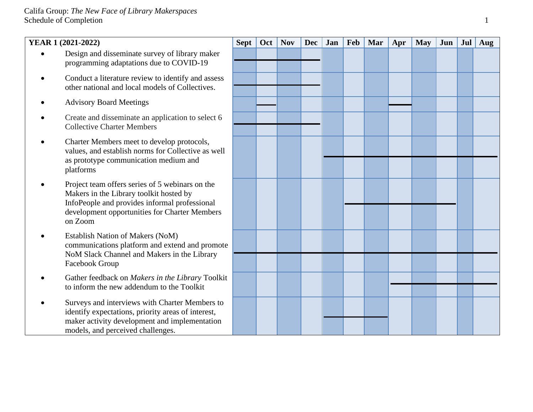# Califa Group: *The New Face of Library Makerspaces* Schedule of Completion 1

| YEAR 1 (2021-2022) |                                                                                                                                                                                                         | <b>Sept</b> | Oct | <b>Nov</b> | <b>Dec</b> | Jan | <b>Feb</b> | Mar | Apr | <b>May</b> | Jun | Jul | Aug |
|--------------------|---------------------------------------------------------------------------------------------------------------------------------------------------------------------------------------------------------|-------------|-----|------------|------------|-----|------------|-----|-----|------------|-----|-----|-----|
|                    | Design and disseminate survey of library maker<br>programming adaptations due to COVID-19                                                                                                               |             |     |            |            |     |            |     |     |            |     |     |     |
|                    | Conduct a literature review to identify and assess<br>other national and local models of Collectives.                                                                                                   |             |     |            |            |     |            |     |     |            |     |     |     |
|                    | <b>Advisory Board Meetings</b>                                                                                                                                                                          |             |     |            |            |     |            |     |     |            |     |     |     |
|                    | Create and disseminate an application to select 6<br><b>Collective Charter Members</b>                                                                                                                  |             |     |            |            |     |            |     |     |            |     |     |     |
|                    | Charter Members meet to develop protocols,<br>values, and establish norms for Collective as well<br>as prototype communication medium and<br>platforms                                                  |             |     |            |            |     |            |     |     |            |     |     |     |
|                    | Project team offers series of 5 webinars on the<br>Makers in the Library toolkit hosted by<br>InfoPeople and provides informal professional<br>development opportunities for Charter Members<br>on Zoom |             |     |            |            |     |            |     |     |            |     |     |     |
|                    | <b>Establish Nation of Makers (NoM)</b><br>communications platform and extend and promote<br>NoM Slack Channel and Makers in the Library                                                                |             |     |            |            |     |            |     |     |            |     |     |     |
|                    | Facebook Group                                                                                                                                                                                          |             |     |            |            |     |            |     |     |            |     |     |     |
|                    | Gather feedback on Makers in the Library Toolkit<br>to inform the new addendum to the Toolkit                                                                                                           |             |     |            |            |     |            |     |     |            |     |     |     |
|                    | Surveys and interviews with Charter Members to<br>identify expectations, priority areas of interest,<br>maker activity development and implementation<br>models, and perceived challenges.              |             |     |            |            |     |            |     |     |            |     |     |     |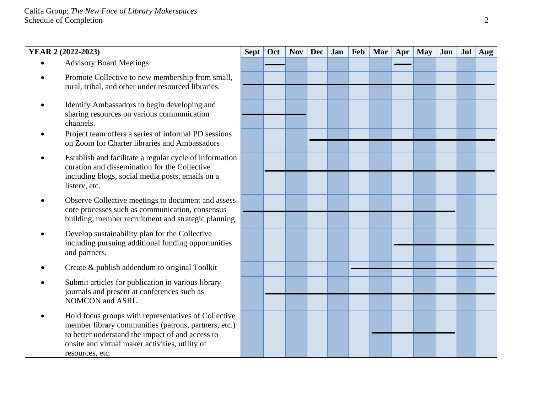# **YEAR 2 (2022-2023) Sept Oct Nov Dec Jan Feb Mar Apr May Jun Jul Aug** • Advisory Board Meetings • Promote Collective to new membership from small, rural, tribal, and other under resourced libraries. • Identify Ambassadors to begin developing and sharing resources on various communication channels. • Project team offers a series of informal PD sessions on Zoom for Charter libraries and Ambassadors • Establish and facilitate a regular cycle of information curation and dissemination for the Collective including blogs, social media posts, emails on a listerv, etc. • Observe Collective meetings to document and assess core processes such as communication, consensus building, member recruitment and strategic planning. • Develop sustainability plan for the Collective including pursuing additional funding opportunities and partners. • Create & publish addendum to original Toolkit • Submit articles for publication in various library journals and present at conferences such as NOMCON and ASRL. • Hold focus groups with representatives of Collective member library communities (patrons, partners, etc.) to better understand the impact of and access to onsite and virtual maker activities, utility of resources, etc.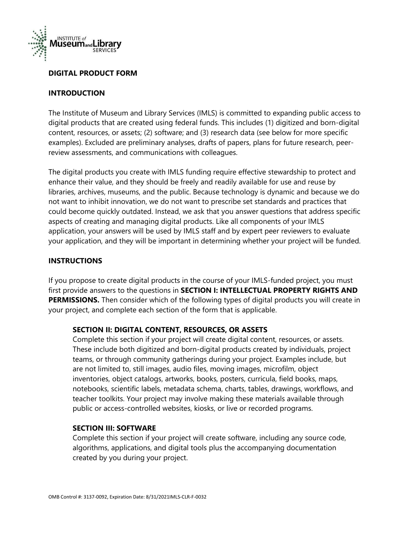

## **DIGITAL PRODUCT FORM**

## **INTRODUCTION**

The Institute of Museum and Library Services (IMLS) is committed to expanding public access to digital products that are created using federal funds. This includes (1) digitized and born-digital content, resources, or assets; (2) software; and (3) research data (see below for more specific examples). Excluded are preliminary analyses, drafts of papers, plans for future research, peerreview assessments, and communications with colleagues.

The digital products you create with IMLS funding require effective stewardship to protect and enhance their value, and they should be freely and readily available for use and reuse by libraries, archives, museums, and the public. Because technology is dynamic and because we do not want to inhibit innovation, we do not want to prescribe set standards and practices that could become quickly outdated. Instead, we ask that you answer questions that address specific aspects of creating and managing digital products. Like all components of your IMLS application, your answers will be used by IMLS staff and by expert peer reviewers to evaluate your application, and they will be important in determining whether your project will be funded.

## **INSTRUCTIONS**

If you propose to create digital products in the course of your IMLS-funded project, you must first provide answers to the questions in **SECTION I: INTELLECTUAL PROPERTY RIGHTS AND PERMISSIONS.** Then consider which of the following types of digital products you will create in your project, and complete each section of the form that is applicable.

## **SECTION II: DIGITAL CONTENT, RESOURCES, OR ASSETS**

Complete this section if your project will create digital content, resources, or assets. These include both digitized and born-digital products created by individuals, project teams, or through community gatherings during your project. Examples include, but are not limited to, still images, audio files, moving images, microfilm, object inventories, object catalogs, artworks, books, posters, curricula, field books, maps, notebooks, scientific labels, metadata schema, charts, tables, drawings, workflows, and teacher toolkits. Your project may involve making these materials available through public or access-controlled websites, kiosks, or live or recorded programs.

## **SECTION III: SOFTWARE**

Complete this section if your project will create software, including any source code, algorithms, applications, and digital tools plus the accompanying documentation created by you during your project.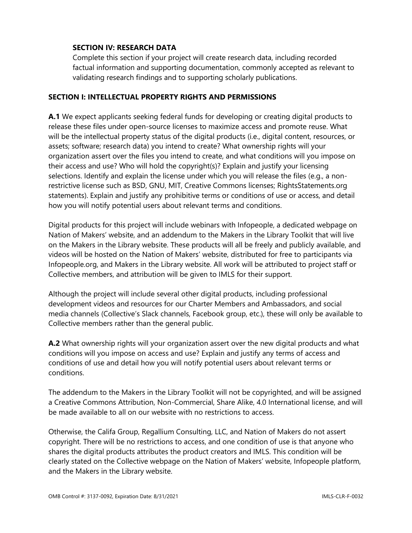## **SECTION IV: RESEARCH DATA**

Complete this section if your project will create research data, including recorded factual information and supporting documentation, commonly accepted as relevant to validating research findings and to supporting scholarly publications.

## **SECTION I: INTELLECTUAL PROPERTY RIGHTS AND PERMISSIONS**

**A.1** We expect applicants seeking federal funds for developing or creating digital products to release these files under open-source licenses to maximize access and promote reuse. What will be the intellectual property status of the digital products (i.e., digital content, resources, or assets; software; research data) you intend to create? What ownership rights will your organization assert over the files you intend to create, and what conditions will you impose on their access and use? Who will hold the copyright(s)? Explain and justify your licensing selections. Identify and explain the license under which you will release the files (e.g., a nonrestrictive license such as BSD, GNU, MIT, Creative Commons licenses; RightsStatements.org statements). Explain and justify any prohibitive terms or conditions of use or access, and detail how you will notify potential users about relevant terms and conditions.

Digital products for this project will include webinars with Infopeople, a dedicated webpage on Nation of Makers' website, and an addendum to the Makers in the Library Toolkit that will live on the Makers in the Library website. These products will all be freely and publicly available, and videos will be hosted on the Nation of Makers' website, distributed for free to participants via Infopeople.org, and Makers in the Library website. All work will be attributed to project staff or Collective members, and attribution will be given to IMLS for their support.

Although the project will include several other digital products, including professional development videos and resources for our Charter Members and Ambassadors, and social media channels (Collective's Slack channels, Facebook group, etc.), these will only be available to Collective members rather than the general public.

**A.2** What ownership rights will your organization assert over the new digital products and what conditions will you impose on access and use? Explain and justify any terms of access and conditions of use and detail how you will notify potential users about relevant terms or conditions.

The addendum to the Makers in the Library Toolkit will not be copyrighted, and will be assigned a Creative Commons Attribution, Non-Commercial, Share Alike, 4.0 International license, and will be made available to all on our website with no restrictions to access.

Otherwise, the Califa Group, Regallium Consulting, LLC, and Nation of Makers do not assert copyright. There will be no restrictions to access, and one condition of use is that anyone who shares the digital products attributes the product creators and IMLS. This condition will be clearly stated on the Collective webpage on the Nation of Makers' website, Infopeople platform, and the Makers in the Library website.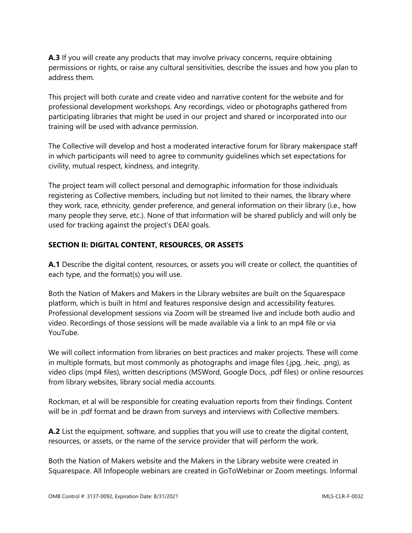**A.3** If you will create any products that may involve privacy concerns, require obtaining permissions or rights, or raise any cultural sensitivities, describe the issues and how you plan to address them.

This project will both curate and create video and narrative content for the website and for professional development workshops. Any recordings, video or photographs gathered from participating libraries that might be used in our project and shared or incorporated into our training will be used with advance permission.

The Collective will develop and host a moderated interactive forum for library makerspace staff in which participants will need to agree to community guidelines which set expectations for civility, mutual respect, kindness, and integrity.

The project team will collect personal and demographic information for those individuals registering as Collective members, including but not limited to their names, the library where they work, race, ethnicity, gender preference, and general information on their library (i.e., how many people they serve, etc.). None of that information will be shared publicly and will only be used for tracking against the project's DEAI goals.

# **SECTION II: DIGITAL CONTENT, RESOURCES, OR ASSETS**

**A.1** Describe the digital content, resources, or assets you will create or collect, the quantities of each type, and the format(s) you will use.

Both the Nation of Makers and Makers in the Library websites are built on the Squarespace platform, which is built in html and features responsive design and accessibility features. Professional development sessions via Zoom will be streamed live and include both audio and video. Recordings of those sessions will be made available via a link to an mp4 file or via YouTube.

We will collect information from libraries on best practices and maker projects. These will come in multiple formats, but most commonly as photographs and image files (.jpg, .heic, .png), as video clips (mp4 files), written descriptions (MSWord, Google Docs, .pdf files) or online resources from library websites, library social media accounts.

Rockman, et al will be responsible for creating evaluation reports from their findings. Content will be in .pdf format and be drawn from surveys and interviews with Collective members.

**A.2** List the equipment, software, and supplies that you will use to create the digital content, resources, or assets, or the name of the service provider that will perform the work.

Both the Nation of Makers website and the Makers in the Library website were created in Squarespace. All Infopeople webinars are created in GoToWebinar or Zoom meetings. Informal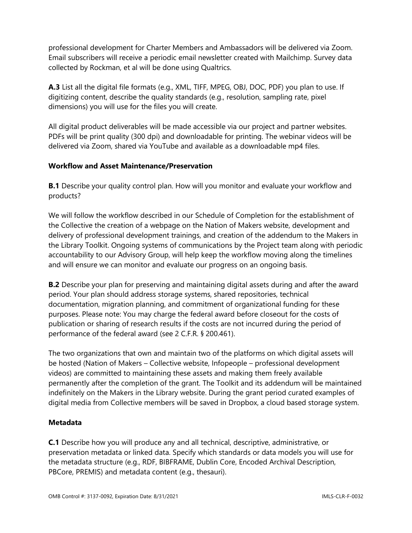professional development for Charter Members and Ambassadors will be delivered via Zoom. Email subscribers will receive a periodic email newsletter created with Mailchimp. Survey data collected by Rockman, et al will be done using Qualtrics.

**A.3** List all the digital file formats (e.g., XML, TIFF, MPEG, OBJ, DOC, PDF) you plan to use. If digitizing content, describe the quality standards (e.g., resolution, sampling rate, pixel dimensions) you will use for the files you will create.

All digital product deliverables will be made accessible via our project and partner websites. PDFs will be print quality (300 dpi) and downloadable for printing. The webinar videos will be delivered via Zoom, shared via YouTube and available as a downloadable mp4 files.

# **Workflow and Asset Maintenance/Preservation**

**B.1** Describe your quality control plan. How will you monitor and evaluate your workflow and products?

We will follow the workflow described in our Schedule of Completion for the establishment of the Collective the creation of a webpage on the Nation of Makers website, development and delivery of professional development trainings, and creation of the addendum to the Makers in the Library Toolkit. Ongoing systems of communications by the Project team along with periodic accountability to our Advisory Group, will help keep the workflow moving along the timelines and will ensure we can monitor and evaluate our progress on an ongoing basis.

**B.2** Describe your plan for preserving and maintaining digital assets during and after the award period. Your plan should address storage systems, shared repositories, technical documentation, migration planning, and commitment of organizational funding for these purposes. Please note: You may charge the federal award before closeout for the costs of publication or sharing of research results if the costs are not incurred during the period of performance of the federal award (see 2 C.F.R. § 200.461).

The two organizations that own and maintain two of the platforms on which digital assets will be hosted (Nation of Makers – Collective website, Infopeople – professional development videos) are committed to maintaining these assets and making them freely available permanently after the completion of the grant. The Toolkit and its addendum will be maintained indefinitely on the Makers in the Library website. During the grant period curated examples of digital media from Collective members will be saved in Dropbox, a cloud based storage system.

# **Metadata**

**C.1** Describe how you will produce any and all technical, descriptive, administrative, or preservation metadata or linked data. Specify which standards or data models you will use for the metadata structure (e.g., RDF, BIBFRAME, Dublin Core, Encoded Archival Description, PBCore, PREMIS) and metadata content (e.g., thesauri).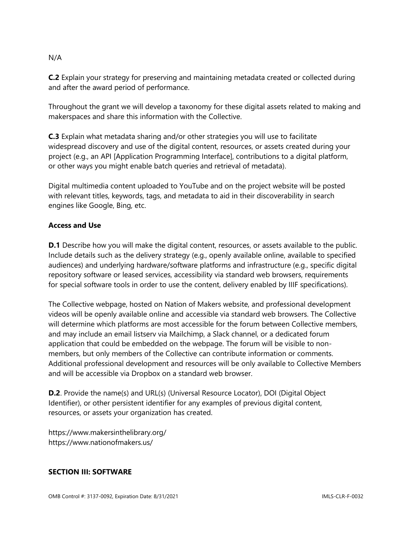#### N/A

**C.2** Explain your strategy for preserving and maintaining metadata created or collected during and after the award period of performance.

Throughout the grant we will develop a taxonomy for these digital assets related to making and makerspaces and share this information with the Collective.

**C.3** Explain what metadata sharing and/or other strategies you will use to facilitate widespread discovery and use of the digital content, resources, or assets created during your project (e.g., an API [Application Programming Interface], contributions to a digital platform, or other ways you might enable batch queries and retrieval of metadata).

Digital multimedia content uploaded to YouTube and on the project website will be posted with relevant titles, keywords, tags, and metadata to aid in their discoverability in search engines like Google, Bing, etc.

## **Access and Use**

**D.1** Describe how you will make the digital content, resources, or assets available to the public. Include details such as the delivery strategy (e.g., openly available online, available to specified audiences) and underlying hardware/software platforms and infrastructure (e.g., specific digital repository software or leased services, accessibility via standard web browsers, requirements for special software tools in order to use the content, delivery enabled by IIIF specifications).

The Collective webpage, hosted on Nation of Makers website, and professional development videos will be openly available online and accessible via standard web browsers. The Collective will determine which platforms are most accessible for the forum between Collective members, and may include an email listserv via Mailchimp, a Slack channel, or a dedicated forum application that could be embedded on the webpage. The forum will be visible to nonmembers, but only members of the Collective can contribute information or comments. Additional professional development and resources will be only available to Collective Members and will be accessible via Dropbox on a standard web browser.

**D.2**. Provide the name(s) and URL(s) (Universal Resource Locator), DOI (Digital Object Identifier), or other persistent identifier for any examples of previous digital content, resources, or assets your organization has created.

https://www.makersinthelibrary.org/ https://www.nationofmakers.us/

## **SECTION III: SOFTWARE**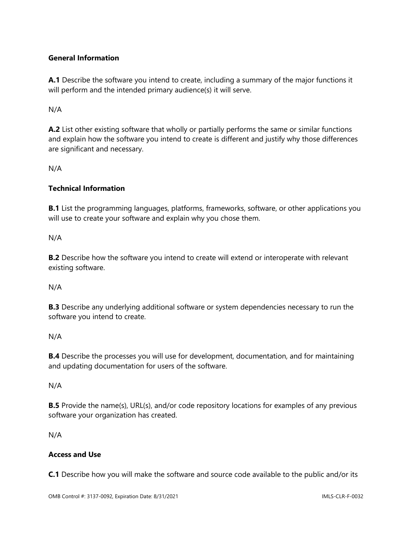# **General Information**

**A.1** Describe the software you intend to create, including a summary of the major functions it will perform and the intended primary audience(s) it will serve.

N/A

**A.2** List other existing software that wholly or partially performs the same or similar functions and explain how the software you intend to create is different and justify why those differences are significant and necessary.

N/A

# **Technical Information**

**B.1** List the programming languages, platforms, frameworks, software, or other applications you will use to create your software and explain why you chose them.

N/A

**B.2** Describe how the software you intend to create will extend or interoperate with relevant existing software.

N/A

**B.3** Describe any underlying additional software or system dependencies necessary to run the software you intend to create.

## N/A

**B.4** Describe the processes you will use for development, documentation, and for maintaining and updating documentation for users of the software.

N/A

**B.5** Provide the name(s), URL(s), and/or code repository locations for examples of any previous software your organization has created.

N/A

# **Access and Use**

**C.1** Describe how you will make the software and source code available to the public and/or its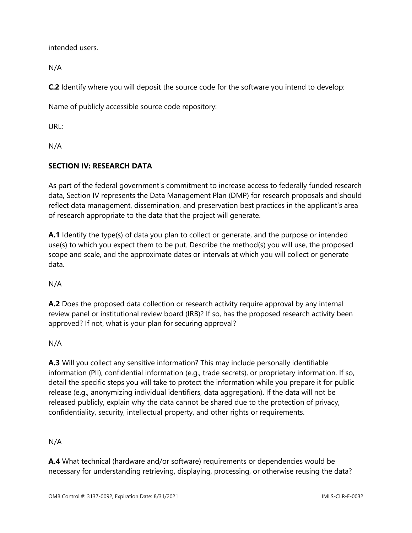intended users.

N/A

**C.2** Identify where you will deposit the source code for the software you intend to develop:

Name of publicly accessible source code repository:

URL:

N/A

# **SECTION IV: RESEARCH DATA**

As part of the federal government's commitment to increase access to federally funded research data, Section IV represents the Data Management Plan (DMP) for research proposals and should reflect data management, dissemination, and preservation best practices in the applicant's area of research appropriate to the data that the project will generate.

**A.1** Identify the type(s) of data you plan to collect or generate, and the purpose or intended use(s) to which you expect them to be put. Describe the method(s) you will use, the proposed scope and scale, and the approximate dates or intervals at which you will collect or generate data.

N/A

**A.2** Does the proposed data collection or research activity require approval by any internal review panel or institutional review board (IRB)? If so, has the proposed research activity been approved? If not, what is your plan for securing approval?

N/A

**A.3** Will you collect any sensitive information? This may include personally identifiable information (PII), confidential information (e.g., trade secrets), or proprietary information. If so, detail the specific steps you will take to protect the information while you prepare it for public release (e.g., anonymizing individual identifiers, data aggregation). If the data will not be released publicly, explain why the data cannot be shared due to the protection of privacy, confidentiality, security, intellectual property, and other rights or requirements.

N/A

**A.4** What technical (hardware and/or software) requirements or dependencies would be necessary for understanding retrieving, displaying, processing, or otherwise reusing the data?